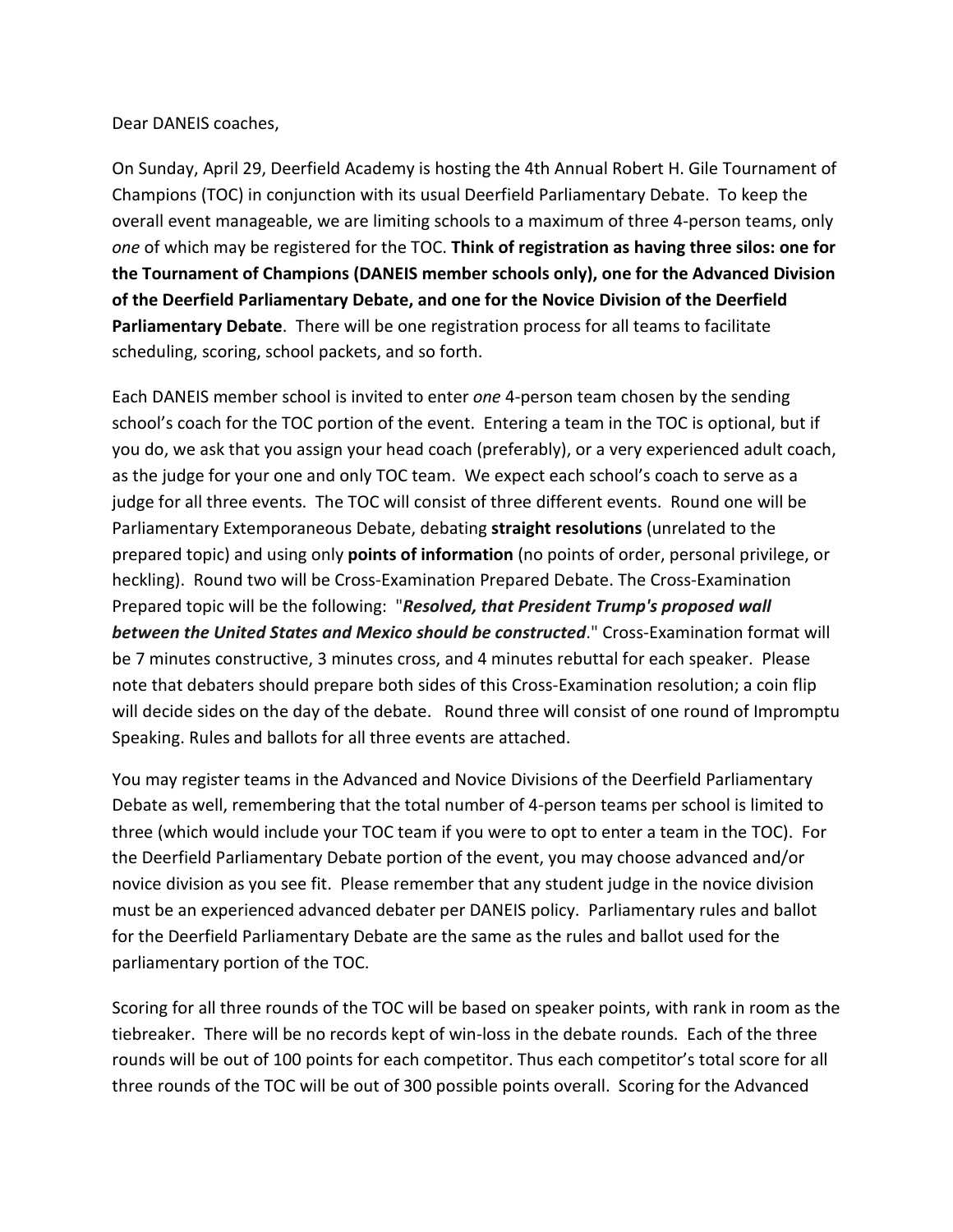Dear DANEIS coaches,

On Sunday, April 29, Deerfield Academy is hosting the 4th Annual Robert H. Gile Tournament of Champions (TOC) in conjunction with its usual Deerfield Parliamentary Debate. To keep the overall event manageable, we are limiting schools to a maximum of three 4-person teams, only *one* of which may be registered for the TOC. **Think of registration as having three silos: one for the Tournament of Champions (DANEIS member schools only), one for the Advanced Division of the Deerfield Parliamentary Debate, and one for the Novice Division of the Deerfield Parliamentary Debate**. There will be one registration process for all teams to facilitate scheduling, scoring, school packets, and so forth.

Each DANEIS member school is invited to enter *one* 4-person team chosen by the sending school's coach for the TOC portion of the event. Entering a team in the TOC is optional, but if you do, we ask that you assign your head coach (preferably), or a very experienced adult coach, as the judge for your one and only TOC team. We expect each school's coach to serve as a judge for all three events. The TOC will consist of three different events. Round one will be Parliamentary Extemporaneous Debate, debating **straight resolutions** (unrelated to the prepared topic) and using only **points of information** (no points of order, personal privilege, or heckling). Round two will be Cross-Examination Prepared Debate. The Cross-Examination Prepared topic will be the following: "*Resolved, that President Trump's proposed wall between the United States and Mexico should be constructed*." Cross-Examination format will be 7 minutes constructive, 3 minutes cross, and 4 minutes rebuttal for each speaker. Please note that debaters should prepare both sides of this Cross-Examination resolution; a coin flip will decide sides on the day of the debate. Round three will consist of one round of Impromptu Speaking. Rules and ballots for all three events are attached.

You may register teams in the Advanced and Novice Divisions of the Deerfield Parliamentary Debate as well, remembering that the total number of 4-person teams per school is limited to three (which would include your TOC team if you were to opt to enter a team in the TOC). For the Deerfield Parliamentary Debate portion of the event, you may choose advanced and/or novice division as you see fit. Please remember that any student judge in the novice division must be an experienced advanced debater per DANEIS policy. Parliamentary rules and ballot for the Deerfield Parliamentary Debate are the same as the rules and ballot used for the parliamentary portion of the TOC.

Scoring for all three rounds of the TOC will be based on speaker points, with rank in room as the tiebreaker. There will be no records kept of win-loss in the debate rounds. Each of the three rounds will be out of 100 points for each competitor. Thus each competitor's total score for all three rounds of the TOC will be out of 300 possible points overall. Scoring for the Advanced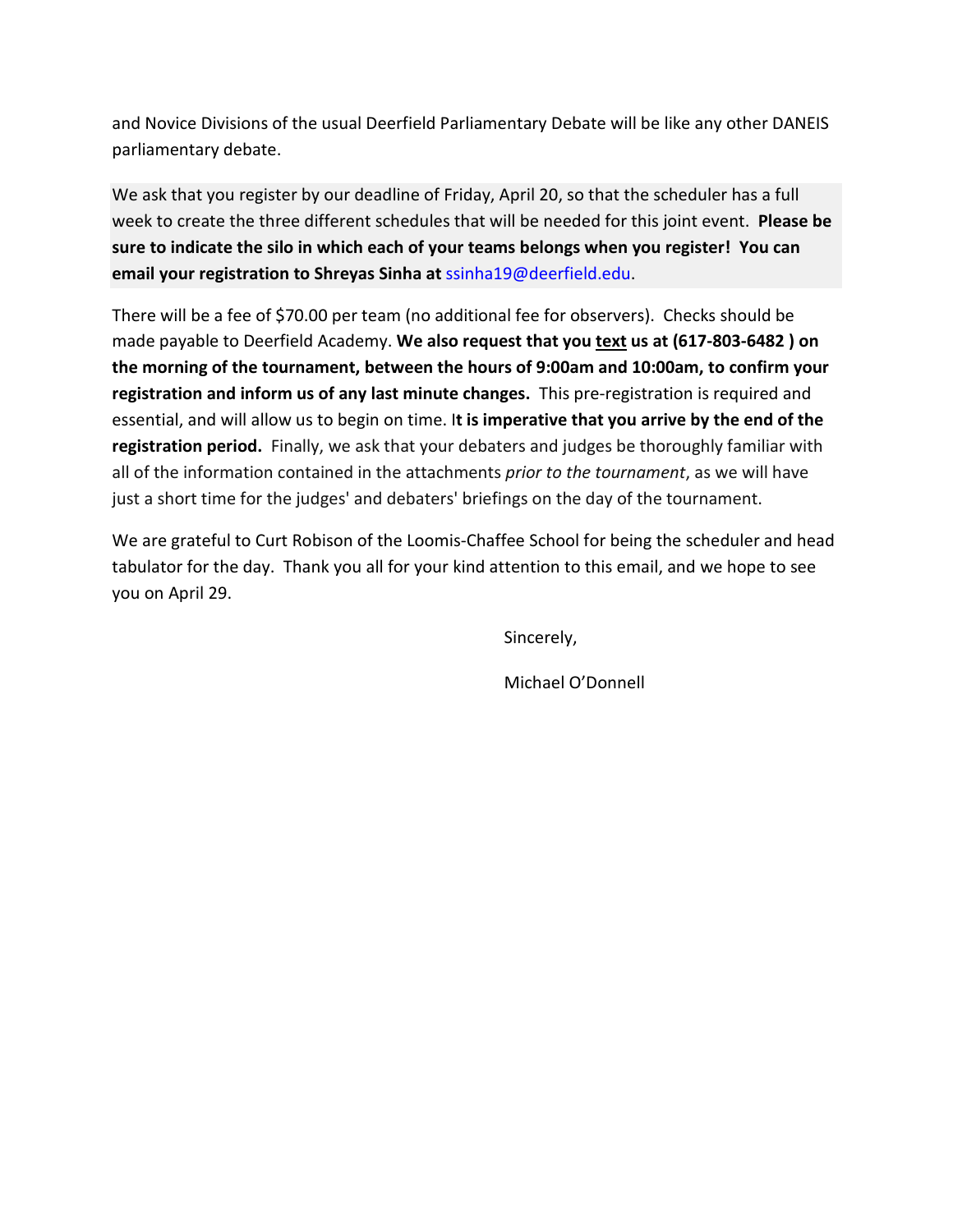and Novice Divisions of the usual Deerfield Parliamentary Debate will be like any other DANEIS parliamentary debate.

We ask that you register by our deadline of Friday, April 20, so that the scheduler has a full week to create the three different schedules that will be needed for this joint event. **Please be sure to indicate the silo in which each of your teams belongs when you register! You can email your registration to Shreyas Sinha at** [ssinha19@deerfield.edu.](mailto:ssinha19@deerfield.edu)

There will be a fee of \$70.00 per team (no additional fee for observers). Checks should be made payable to Deerfield Academy. **We also request that you text us at (617-803-6482 ) on the morning of the tournament, between the hours of 9:00am and 10:00am, to confirm your registration and inform us of any last minute changes.** This pre-registration is required and essential, and will allow us to begin on time. I**t is imperative that you arrive by the end of the registration period.** Finally, we ask that your debaters and judges be thoroughly familiar with all of the information contained in the attachments *prior to the tournament*, as we will have just a short time for the judges' and debaters' briefings on the day of the tournament.

We are grateful to Curt Robison of the Loomis-Chaffee School for being the scheduler and head tabulator for the day. Thank you all for your kind attention to this email, and we hope to see you on April 29.

Sincerely,

Michael O'Donnell